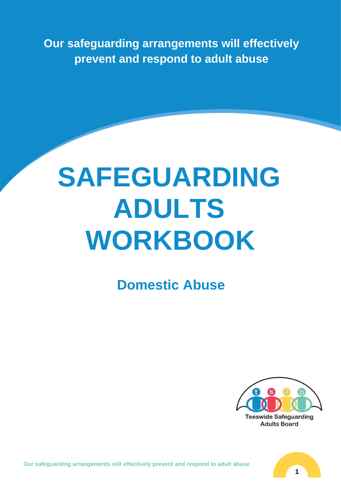**Our safeguarding arrangements will effectively prevent and respond to adult abuse** 

# **SAFEGUARDING ADULTS WORKBOOK**

## **Domestic Abuse**



**Our safeguarding arrangements will effectively prevent and respond to adult abuse**

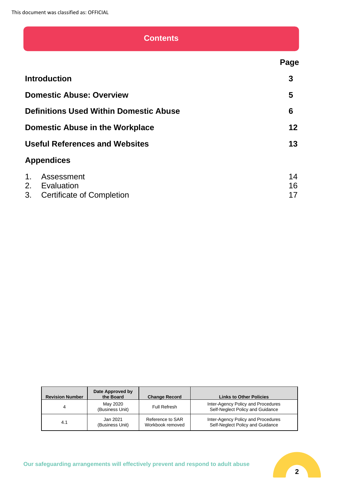## **Contents**

**Introduction 3 Domestic Abuse: Overview 5 Definitions Used Within Domestic Abuse 6 Domestic Abuse in the Workplace 12** Useful References and Websites **13 Appendices** 1. Assessment 14 2. Evaluation 16 3. Certificate of Completion 2008 17

| <b>Revision Number</b> | Date Approved by<br>the Board | <b>Change Record</b>                 | <b>Links to Other Policies</b>                                         |
|------------------------|-------------------------------|--------------------------------------|------------------------------------------------------------------------|
| 4                      | May 2020<br>(Business Unit)   | Full Refresh                         | Inter-Agency Policy and Procedures<br>Self-Neglect Policy and Guidance |
| 4.1                    | Jan 2021<br>(Business Unit)   | Reference to SAR<br>Workbook removed | Inter-Agency Policy and Procedures<br>Self-Neglect Policy and Guidance |

 **Page**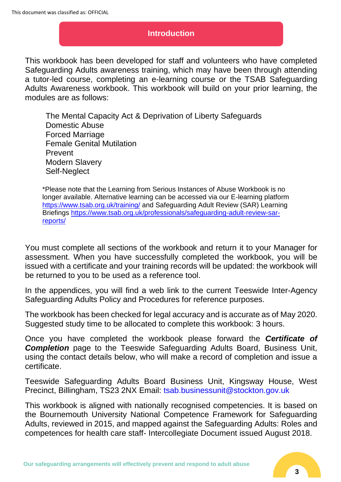## **Introduction**

This workbook has been developed for staff and volunteers who have completed Safeguarding Adults awareness training, which may have been through attending a tutor-led course, completing an e-learning course or the TSAB Safeguarding Adults Awareness workbook. This workbook will build on your prior learning, the modules are as follows:

The Mental Capacity Act & Deprivation of Liberty Safeguards Domestic Abuse Forced Marriage Female Genital Mutilation Prevent Modern Slavery Self-Neglect

\*Please note that the Learning from Serious Instances of Abuse Workbook is no longer available. Alternative learning can be accessed via our E-learning platform <https://www.tsab.org.uk/training/> and Safeguarding Adult Review (SAR) Learning Briefings [https://www.tsab.org.uk/professionals/safeguarding-adult-review-sar](https://www.tsab.org.uk/professionals/safeguarding-adult-review-sar-reports/)[reports/](https://www.tsab.org.uk/professionals/safeguarding-adult-review-sar-reports/)

You must complete all sections of the workbook and return it to your Manager for assessment. When you have successfully completed the workbook, you will be issued with a certificate and your training records will be updated: the workbook will be returned to you to be used as a reference tool.

In the appendices, you will find a web link to the current Teeswide Inter-Agency Safeguarding Adults Policy and Procedures for reference purposes.

The workbook has been checked for legal accuracy and is accurate as of May 2020. Suggested study time to be allocated to complete this workbook: 3 hours.

Once you have completed the workbook please forward the *Certificate of*  **Completion** page to the Teeswide Safeguarding Adults Board, Business Unit, using the contact details below, who will make a record of completion and issue a certificate.

Teeswide Safeguarding Adults Board Business Unit, Kingsway House, West Precinct, Billingham, TS23 2NX Email: tsab.businessunit@stockton.gov.uk

This workbook is aligned with nationally recognised competencies. It is based on the Bournemouth University National Competence Framework for Safeguarding Adults, reviewed in 2015, and mapped against the Safeguarding Adults: Roles and competences for health care staff- Intercollegiate Document issued August 2018.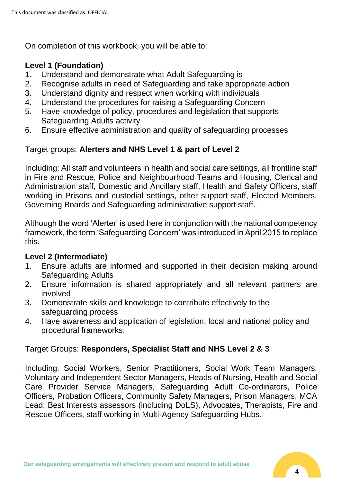On completion of this workbook, you will be able to:

## **Level 1 (Foundation)**

- 1. Understand and demonstrate what Adult Safeguarding is
- 2. Recognise adults in need of Safeguarding and take appropriate action
- 3. Understand dignity and respect when working with individuals
- 4. Understand the procedures for raising a Safeguarding Concern
- 5. Have knowledge of policy, procedures and legislation that supports Safeguarding Adults activity
- 6. Ensure effective administration and quality of safeguarding processes

## Target groups: **Alerters and NHS Level 1 & part of Level 2**

Including: All staff and volunteers in health and social care settings, all frontline staff in Fire and Rescue, Police and Neighbourhood Teams and Housing, Clerical and Administration staff, Domestic and Ancillary staff, Health and Safety Officers, staff working in Prisons and custodial settings, other support staff, Elected Members, Governing Boards and Safeguarding administrative support staff.

Although the word 'Alerter' is used here in conjunction with the national competency framework, the term 'Safeguarding Concern' was introduced in April 2015 to replace this.

## **Level 2 (Intermediate)**

- 1. Ensure adults are informed and supported in their decision making around Safeguarding Adults
- 2. Ensure information is shared appropriately and all relevant partners are involved
- 3. Demonstrate skills and knowledge to contribute effectively to the safeguarding process
- 4. Have awareness and application of legislation, local and national policy and procedural frameworks.

## Target Groups: **Responders, Specialist Staff and NHS Level 2 & 3**

Including: Social Workers, Senior Practitioners, Social Work Team Managers, Voluntary and Independent Sector Managers, Heads of Nursing, Health and Social Care Provider Service Managers, Safeguarding Adult Co-ordinators, Police Officers, Probation Officers, Community Safety Managers, Prison Managers, MCA Lead, Best Interests assessors (including DoLS), Advocates, Therapists, Fire and Rescue Officers, staff working in Multi-Agency Safeguarding Hubs.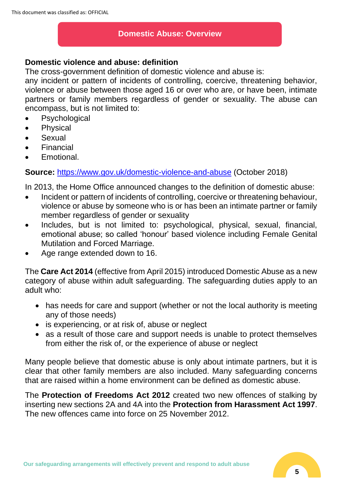## **Domestic Abuse: Overview**

## **Domestic violence and abuse: definition**

The cross-government definition of domestic violence and abuse is:

any incident or pattern of incidents of controlling, coercive, threatening behavior, violence or abuse between those aged 16 or over who are, or have been, intimate partners or family members regardless of gender or sexuality. The abuse can encompass, but is not limited to:

- Psychological
- Physical
- Sexual
- **Financial**
- Emotional.

**Source:** <https://www.gov.uk/domestic-violence-and-abuse> (October 2018)

In 2013, the Home Office announced changes to the definition of domestic abuse:

- Incident or pattern of incidents of controlling, coercive or threatening behaviour, violence or abuse by someone who is or has been an intimate partner or family member regardless of gender or sexuality
- Includes, but is not limited to: psychological, physical, sexual, financial, emotional abuse; so called 'honour' based violence including Female Genital Mutilation and Forced Marriage.
- Age range extended down to 16.

The **Care Act 2014** (effective from April 2015) introduced Domestic Abuse as a new category of abuse within adult safeguarding. The safeguarding duties apply to an adult who:

- has needs for care and support (whether or not the local authority is meeting any of those needs)
- is experiencing, or at risk of, abuse or neglect
- as a result of those care and support needs is unable to protect themselves from either the risk of, or the experience of abuse or neglect

Many people believe that domestic abuse is only about intimate partners, but it is clear that other family members are also included. Many safeguarding concerns that are raised within a home environment can be defined as domestic abuse.

The **Protection of Freedoms Act 2012** created two new offences of stalking by inserting new sections 2A and 4A into the **Protection from Harassment Act 1997**. The new offences came into force on 25 November 2012.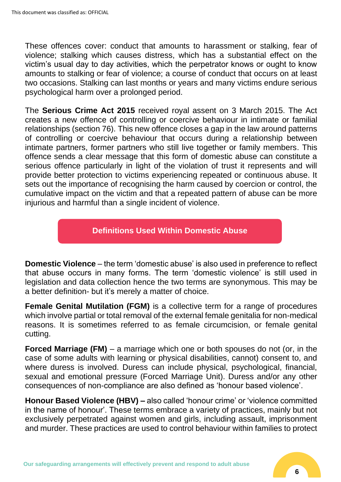These offences cover: conduct that amounts to harassment or stalking, fear of violence; stalking which causes distress, which has a substantial effect on the victim's usual day to day activities, which the perpetrator knows or ought to know amounts to stalking or fear of violence; a course of conduct that occurs on at least two occasions. Stalking can last months or years and many victims endure serious psychological harm over a prolonged period.

The **Serious Crime Act 2015** received royal assent on 3 March 2015. The Act creates a new offence of controlling or coercive behaviour in intimate or familial relationships (section 76). This new offence closes a gap in the law around patterns of controlling or coercive behaviour that occurs during a relationship between intimate partners, former partners who still live together or family members. This offence sends a clear message that this form of domestic abuse can constitute a serious offence particularly in light of the violation of trust it represents and will provide better protection to victims experiencing repeated or continuous abuse. It sets out the importance of recognising the harm caused by coercion or control, the cumulative impact on the victim and that a repeated pattern of abuse can be more injurious and harmful than a single incident of violence.

## **Definitions Used Within Domestic Abuse**

**Domestic Violence** – the term 'domestic abuse' is also used in preference to reflect that abuse occurs in many forms. The term 'domestic violence' is still used in legislation and data collection hence the two terms are synonymous. This may be a better definition- but it's merely a matter of choice.

**Female Genital Mutilation (FGM)** is a collective term for a range of procedures which involve partial or total removal of the external female genitalia for non-medical reasons. It is sometimes referred to as female circumcision, or female genital cutting.

**Forced Marriage (FM)** – a marriage which one or both spouses do not (or, in the case of some adults with learning or physical disabilities, cannot) consent to, and where duress is involved. Duress can include physical, psychological, financial, sexual and emotional pressure (Forced Marriage Unit). Duress and/or any other consequences of non-compliance are also defined as 'honour based violence'.

**Honour Based Violence (HBV) –** also called 'honour crime' or 'violence committed in the name of honour'. These terms embrace a variety of practices, mainly but not exclusively perpetrated against women and girls, including assault, imprisonment and murder. These practices are used to control behaviour within families to protect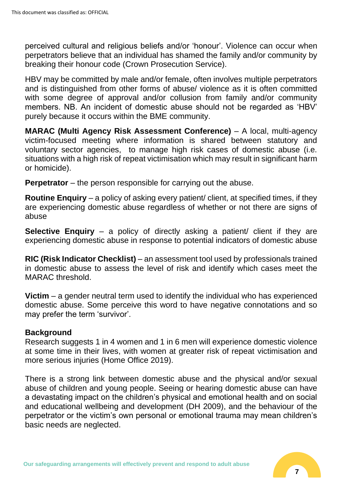perceived cultural and religious beliefs and/or 'honour'. Violence can occur when perpetrators believe that an individual has shamed the family and/or community by breaking their honour code (Crown Prosecution Service).

HBV may be committed by male and/or female, often involves multiple perpetrators and is distinguished from other forms of abuse/ violence as it is often committed with some degree of approval and/or collusion from family and/or community members. NB. An incident of domestic abuse should not be regarded as 'HBV' purely because it occurs within the BME community.

**MARAC (Multi Agency Risk Assessment Conference)** – A local, multi-agency victim-focused meeting where information is shared between statutory and voluntary sector agencies, to manage high risk cases of domestic abuse (i.e. situations with a high risk of repeat victimisation which may result in significant harm or homicide).

**Perpetrator** – the person responsible for carrying out the abuse.

**Routine Enquiry** – a policy of asking every patient/ client, at specified times, if they are experiencing domestic abuse regardless of whether or not there are signs of abuse

**Selective Enquiry** – a policy of directly asking a patient/ client if they are experiencing domestic abuse in response to potential indicators of domestic abuse

**RIC (Risk Indicator Checklist)** – an assessment tool used by professionals trained in domestic abuse to assess the level of risk and identify which cases meet the MARAC threshold.

**Victim** – a gender neutral term used to identify the individual who has experienced domestic abuse. Some perceive this word to have negative connotations and so may prefer the term 'survivor'.

## **Background**

Research suggests 1 in 4 women and 1 in 6 men will experience domestic violence at some time in their lives, with women at greater risk of repeat victimisation and more serious injuries (Home Office 2019).

There is a strong link between domestic abuse and the physical and/or sexual abuse of children and young people. Seeing or hearing domestic abuse can have a devastating impact on the children's physical and emotional health and on social and educational wellbeing and development (DH 2009), and the behaviour of the perpetrator or the victim's own personal or emotional trauma may mean children's basic needs are neglected.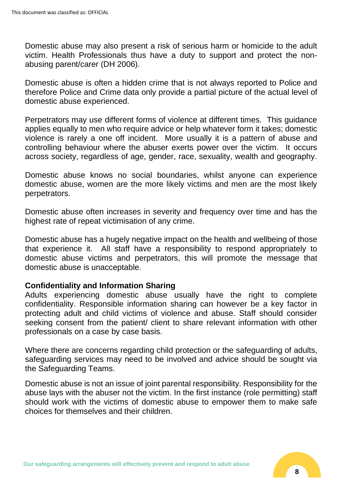Domestic abuse may also present a risk of serious harm or homicide to the adult victim. Health Professionals thus have a duty to support and protect the nonabusing parent/carer (DH 2006).

Domestic abuse is often a hidden crime that is not always reported to Police and therefore Police and Crime data only provide a partial picture of the actual level of domestic abuse experienced.

Perpetrators may use different forms of violence at different times. This guidance applies equally to men who require advice or help whatever form it takes; domestic violence is rarely a one off incident. More usually it is a pattern of abuse and controlling behaviour where the abuser exerts power over the victim. It occurs across society, regardless of age, gender, race, sexuality, wealth and geography.

Domestic abuse knows no social boundaries, whilst anyone can experience domestic abuse, women are the more likely victims and men are the most likely perpetrators.

Domestic abuse often increases in severity and frequency over time and has the highest rate of repeat victimisation of any crime.

Domestic abuse has a hugely negative impact on the health and wellbeing of those that experience it. All staff have a responsibility to respond appropriately to domestic abuse victims and perpetrators, this will promote the message that domestic abuse is unacceptable.

## **Confidentiality and Information Sharing**

Adults experiencing domestic abuse usually have the right to complete confidentiality. Responsible information sharing can however be a key factor in protecting adult and child victims of violence and abuse. Staff should consider seeking consent from the patient/ client to share relevant information with other professionals on a case by case basis.

Where there are concerns regarding child protection or the safeguarding of adults, safeguarding services may need to be involved and advice should be sought via the Safeguarding Teams.

Domestic abuse is not an issue of joint parental responsibility. Responsibility for the abuse lays with the abuser not the victim. In the first instance (role permitting) staff should work with the victims of domestic abuse to empower them to make safe choices for themselves and their children.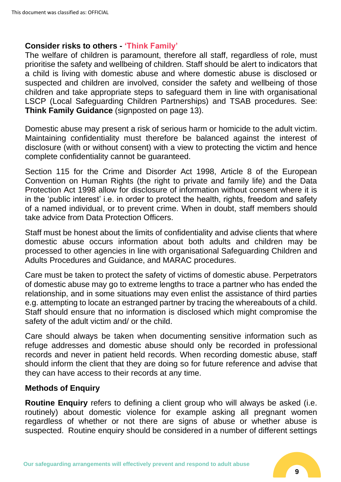## **Consider risks to others - 'Think Family'**

The welfare of children is paramount, therefore all staff, regardless of role, must prioritise the safety and wellbeing of children. Staff should be alert to indicators that a child is living with domestic abuse and where domestic abuse is disclosed or suspected and children are involved, consider the safety and wellbeing of those children and take appropriate steps to safeguard them in line with organisational LSCP (Local Safeguarding Children Partnerships) and TSAB procedures. See: **Think Family Guidance** (signposted on page 13).

Domestic abuse may present a risk of serious harm or homicide to the adult victim. Maintaining confidentiality must therefore be balanced against the interest of disclosure (with or without consent) with a view to protecting the victim and hence complete confidentiality cannot be guaranteed.

Section 115 for the Crime and Disorder Act 1998, Article 8 of the European Convention on Human Rights (the right to private and family life) and the Data Protection Act 1998 allow for disclosure of information without consent where it is in the 'public interest' i.e. in order to protect the health, rights, freedom and safety of a named individual, or to prevent crime. When in doubt, staff members should take advice from Data Protection Officers.

Staff must be honest about the limits of confidentiality and advise clients that where domestic abuse occurs information about both adults and children may be processed to other agencies in line with organisational Safeguarding Children and Adults Procedures and Guidance, and MARAC procedures.

Care must be taken to protect the safety of victims of domestic abuse. Perpetrators of domestic abuse may go to extreme lengths to trace a partner who has ended the relationship, and in some situations may even enlist the assistance of third parties e.g. attempting to locate an estranged partner by tracing the whereabouts of a child. Staff should ensure that no information is disclosed which might compromise the safety of the adult victim and/ or the child.

Care should always be taken when documenting sensitive information such as refuge addresses and domestic abuse should only be recorded in professional records and never in patient held records. When recording domestic abuse, staff should inform the client that they are doing so for future reference and advise that they can have access to their records at any time.

## **Methods of Enquiry**

**Routine Enquiry** refers to defining a client group who will always be asked (i.e. routinely) about domestic violence for example asking all pregnant women regardless of whether or not there are signs of abuse or whether abuse is suspected. Routine enquiry should be considered in a number of different settings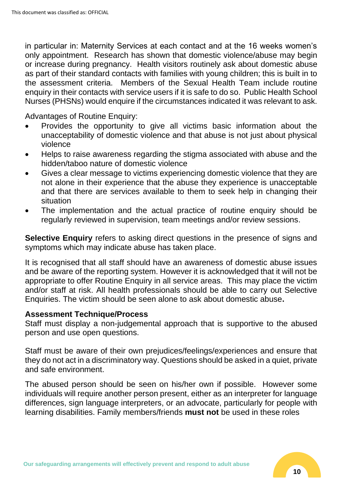in particular in: Maternity Services at each contact and at the 16 weeks women's only appointment. Research has shown that domestic violence/abuse may begin or increase during pregnancy. Health visitors routinely ask about domestic abuse as part of their standard contacts with families with young children; this is built in to the assessment criteria. Members of the Sexual Health Team include routine enquiry in their contacts with service users if it is safe to do so. Public Health School Nurses (PHSNs) would enquire if the circumstances indicated it was relevant to ask.

Advantages of Routine Enquiry:

- Provides the opportunity to give all victims basic information about the unacceptability of domestic violence and that abuse is not just about physical violence
- Helps to raise awareness regarding the stigma associated with abuse and the hidden/taboo nature of domestic violence
- Gives a clear message to victims experiencing domestic violence that they are not alone in their experience that the abuse they experience is unacceptable and that there are services available to them to seek help in changing their situation
- The implementation and the actual practice of routine enquiry should be regularly reviewed in supervision, team meetings and/or review sessions.

**Selective Enquiry** refers to asking direct questions in the presence of signs and symptoms which may indicate abuse has taken place.

It is recognised that all staff should have an awareness of domestic abuse issues and be aware of the reporting system. However it is acknowledged that it will not be appropriate to offer Routine Enquiry in all service areas. This may place the victim and/or staff at risk. All health professionals should be able to carry out Selective Enquiries. The victim should be seen alone to ask about domestic abuse**.**

#### **Assessment Technique/Process**

Staff must display a non-judgemental approach that is supportive to the abused person and use open questions.

Staff must be aware of their own prejudices/feelings/experiences and ensure that they do not act in a discriminatory way. Questions should be asked in a quiet, private and safe environment.

The abused person should be seen on his/her own if possible. However some individuals will require another person present, either as an interpreter for language differences, sign language interpreters, or an advocate, particularly for people with learning disabilities. Family members/friends **must not** be used in these roles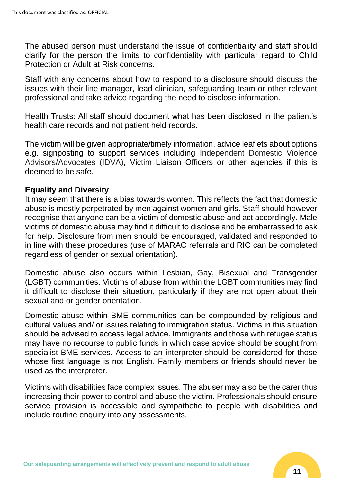The abused person must understand the issue of confidentiality and staff should clarify for the person the limits to confidentiality with particular regard to Child Protection or Adult at Risk concerns.

Staff with any concerns about how to respond to a disclosure should discuss the issues with their line manager, lead clinician, safeguarding team or other relevant professional and take advice regarding the need to disclose information.

Health Trusts: All staff should document what has been disclosed in the patient's health care records and not patient held records.

The victim will be given appropriate/timely information, advice leaflets about options e.g. signposting to support services including Independent Domestic Violence Advisors/Advocates (IDVA), Victim Liaison Officers or other agencies if this is deemed to be safe.

## **Equality and Diversity**

It may seem that there is a bias towards women. This reflects the fact that domestic abuse is mostly perpetrated by men against women and girls. Staff should however recognise that anyone can be a victim of domestic abuse and act accordingly. Male victims of domestic abuse may find it difficult to disclose and be embarrassed to ask for help. Disclosure from men should be encouraged, validated and responded to in line with these procedures (use of MARAC referrals and RIC can be completed regardless of gender or sexual orientation).

Domestic abuse also occurs within Lesbian, Gay, Bisexual and Transgender (LGBT) communities. Victims of abuse from within the LGBT communities may find it difficult to disclose their situation, particularly if they are not open about their sexual and or gender orientation.

Domestic abuse within BME communities can be compounded by religious and cultural values and/ or issues relating to immigration status. Victims in this situation should be advised to access legal advice. Immigrants and those with refugee status may have no recourse to public funds in which case advice should be sought from specialist BME services. Access to an interpreter should be considered for those whose first language is not English. Family members or friends should never be used as the interpreter.

Victims with disabilities face complex issues. The abuser may also be the carer thus increasing their power to control and abuse the victim. Professionals should ensure service provision is accessible and sympathetic to people with disabilities and include routine enquiry into any assessments.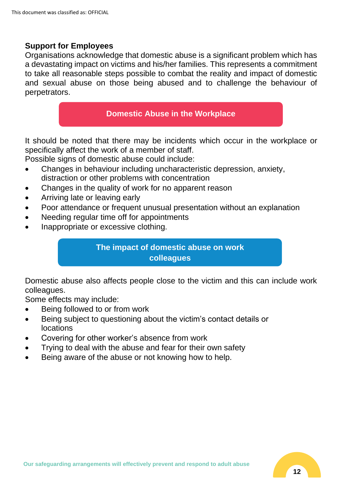## **Support for Employees**

Organisations acknowledge that domestic abuse is a significant problem which has a devastating impact on victims and his/her families. This represents a commitment to take all reasonable steps possible to combat the reality and impact of domestic and sexual abuse on those being abused and to challenge the behaviour of perpetrators.

## **Domestic Abuse in the Workplace**

It should be noted that there may be incidents which occur in the workplace or specifically affect the work of a member of staff.

Possible signs of domestic abuse could include:

- Changes in behaviour including uncharacteristic depression, anxiety, distraction or other problems with concentration
- Changes in the quality of work for no apparent reason
- Arriving late or leaving early
- Poor attendance or frequent unusual presentation without an explanation
- Needing regular time off for appointments
- Inappropriate or excessive clothing.

## **The impact of domestic abuse on work colleagues**

Domestic abuse also affects people close to the victim and this can include work colleagues.

Some effects may include:

- Being followed to or from work
- Being subject to questioning about the victim's contact details or locations
- Covering for other worker's absence from work
- Trying to deal with the abuse and fear for their own safety
- Being aware of the abuse or not knowing how to help.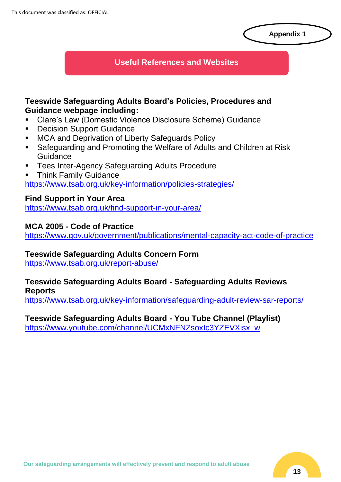#### **Appendix 1**

## **Useful References and Websites**

## **Teeswide Safeguarding Adults Board's Policies, Procedures and Guidance webpage including:**

- Clare's Law (Domestic Violence Disclosure Scheme) Guidance
- Decision Support Guidance
- MCA and Deprivation of Liberty Safeguards Policy
- Safeguarding and Promoting the Welfare of Adults and Children at Risk Guidance
- Tees Inter-Agency Safeguarding Adults Procedure
- **Think Family Guidance** <https://www.tsab.org.uk/key-information/policies-strategies/>

## **Find Support in Your Area**

<https://www.tsab.org.uk/find-support-in-your-area/>

## **MCA 2005 - Code of Practice**

<https://www.gov.uk/government/publications/mental-capacity-act-code-of-practice>

## **Teeswide Safeguarding Adults Concern Form**

<https://www.tsab.org.uk/report-abuse/>

#### **Teeswide Safeguarding Adults Board - Safeguarding Adults Reviews Reports**

<https://www.tsab.org.uk/key-information/safeguarding-adult-review-sar-reports/>

**Teeswide Safeguarding Adults Board - You Tube Channel (Playlist)** [https://www.youtube.com/channel/UCMxNFNZsoxIc3YZEVXisx\\_w](https://www.youtube.com/channel/UCMxNFNZsoxIc3YZEVXisx_w)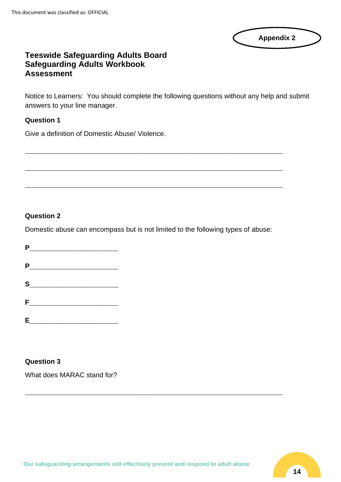| <b>Appendix 2</b> |  |
|-------------------|--|
|                   |  |

## **Teeswide Safeguarding Adults Board Safeguarding Adults Workbook Assessment**

Notice to Learners: You should complete the following questions without any help and submit answers to your line manager.

#### **Question 1**

Give a definition of Domestic Abuse/ Violence.

#### **Question 2**

Domestic abuse can encompass but is not limited to the following types of abuse:

\_\_\_\_\_\_\_\_\_\_\_\_\_\_\_\_\_\_\_\_\_\_\_\_\_\_\_\_\_\_\_\_\_\_\_\_\_\_\_\_\_\_\_\_\_\_\_\_\_\_\_\_\_\_\_\_\_\_\_\_\_\_\_\_\_\_\_\_\_\_\_\_\_\_\_\_\_\_\_\_\_\_\_\_\_\_\_\_\_\_

 $\_$  ,  $\_$  ,  $\_$  ,  $\_$  ,  $\_$  ,  $\_$  ,  $\_$  ,  $\_$  ,  $\_$  ,  $\_$  ,  $\_$  ,  $\_$  ,  $\_$  ,  $\_$  ,  $\_$  ,  $\_$  ,  $\_$  ,  $\_$  ,  $\_$  ,  $\_$  ,  $\_$  ,  $\_$  ,  $\_$  ,  $\_$  ,  $\_$  ,  $\_$  ,  $\_$  ,  $\_$  ,  $\_$  ,  $\_$  ,  $\_$  ,  $\_$  ,  $\_$  ,  $\_$  ,  $\_$  ,  $\_$  ,  $\_$  ,

\_\_\_\_\_\_\_\_\_\_\_\_\_\_\_\_\_\_\_\_\_\_\_\_\_\_\_\_\_\_\_\_\_\_\_\_\_\_\_\_\_\_\_\_\_\_\_\_\_\_\_\_\_\_\_\_\_\_\_\_\_\_\_\_\_\_\_\_\_\_\_\_\_\_\_\_\_\_\_\_\_\_\_\_\_\_\_\_\_\_

| P       |  |  |  |
|---------|--|--|--|
|         |  |  |  |
| P       |  |  |  |
|         |  |  |  |
| $S_{-}$ |  |  |  |
|         |  |  |  |
| F.      |  |  |  |
|         |  |  |  |
| E.      |  |  |  |

#### **Question 3**

What does MARAC stand for?

\_\_\_\_\_\_\_\_\_\_\_\_\_\_\_\_\_\_\_\_\_\_\_\_\_\_\_\_\_\_\_\_\_\_\_\_\_\_\_\_\_\_\_\_\_\_\_\_\_\_\_\_\_\_\_\_\_\_\_\_\_\_\_\_\_\_\_\_\_\_\_\_\_\_\_\_\_\_\_\_\_\_\_\_\_\_\_\_\_\_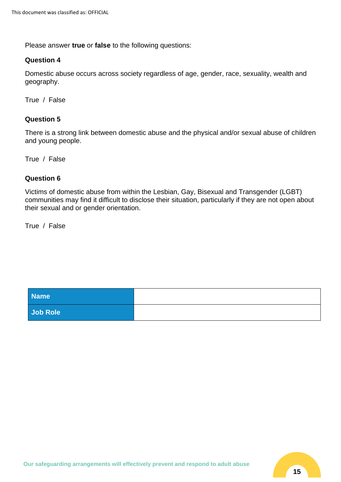Please answer **true** or **false** to the following questions:

#### **Question 4**

Domestic abuse occurs across society regardless of age, gender, race, sexuality, wealth and geography.

True / False

#### **Question 5**

There is a strong link between domestic abuse and the physical and/or sexual abuse of children and young people.

True / False

#### **Question 6**

Victims of domestic abuse from within the Lesbian, Gay, Bisexual and Transgender (LGBT) communities may find it difficult to disclose their situation, particularly if they are not open about their sexual and or gender orientation.

True / False

| Name <sup>1</sup> |  |
|-------------------|--|
| Job Role          |  |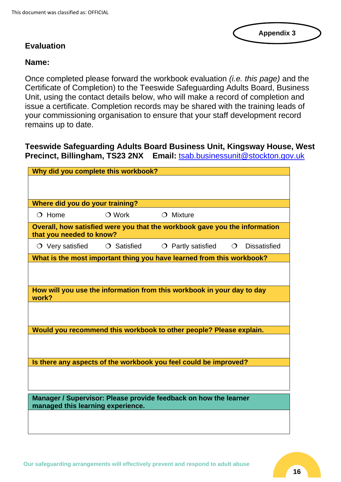## **Evaluation**

## **Name:**

Once completed please forward the workbook evaluation *(i.e. this page)* and the Certificate of Completion) to the Teeswide Safeguarding Adults Board, Business Unit, using the contact details below, who will make a record of completion and issue a certificate. Completion records may be shared with the training leads of your commissioning organisation to ensure that your staff development record remains up to date.

**Teeswide Safeguarding Adults Board Business Unit, Kingsway House, West Precinct, Billingham, TS23 2NX Email:** [tsab.businessunit@stockton.gov.uk](mailto:tsab.businessunit@stockton.gov.uk)

| Why did you complete this workbook?                              |                   |                                                                            |            |                     |
|------------------------------------------------------------------|-------------------|----------------------------------------------------------------------------|------------|---------------------|
|                                                                  |                   |                                                                            |            |                     |
|                                                                  |                   |                                                                            |            |                     |
| Where did you do your training?                                  |                   |                                                                            |            |                     |
| $O$ Home                                                         | $\bigcirc$ Work   | $O$ Mixture                                                                |            |                     |
| that you needed to know?                                         |                   | Overall, how satisfied were you that the workbook gave you the information |            |                     |
| $\circ$ Very satisfied                                           | $\circ$ Satisfied | $\circ$ Partly satisfied                                                   | $\bigcirc$ | <b>Dissatisfied</b> |
|                                                                  |                   | What is the most important thing you have learned from this workbook?      |            |                     |
|                                                                  |                   |                                                                            |            |                     |
|                                                                  |                   |                                                                            |            |                     |
| work?                                                            |                   | How will you use the information from this workbook in your day to day     |            |                     |
|                                                                  |                   |                                                                            |            |                     |
|                                                                  |                   |                                                                            |            |                     |
|                                                                  |                   | Would you recommend this workbook to other people? Please explain.         |            |                     |
|                                                                  |                   |                                                                            |            |                     |
|                                                                  |                   |                                                                            |            |                     |
|                                                                  |                   | Is there any aspects of the workbook you feel could be improved?           |            |                     |
|                                                                  |                   |                                                                            |            |                     |
|                                                                  |                   |                                                                            |            |                     |
| Manager / Supervisor: Please provide feedback on how the learner |                   |                                                                            |            |                     |
| managed this learning experience.                                |                   |                                                                            |            |                     |
|                                                                  |                   |                                                                            |            |                     |
|                                                                  |                   |                                                                            |            |                     |

**Appendix 3**